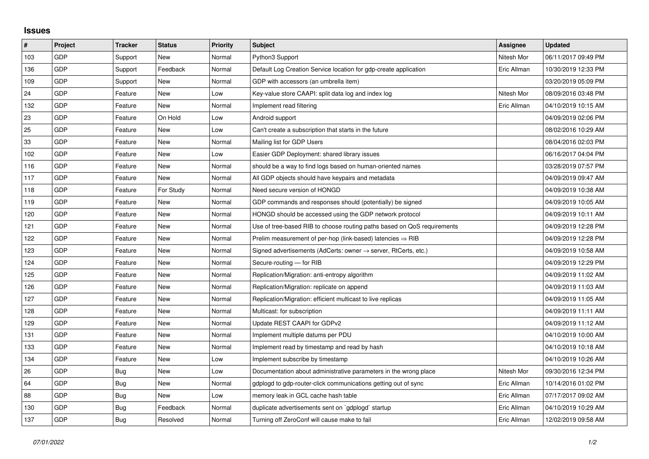## **Issues**

| $\sharp$ | Project    | <b>Tracker</b> | <b>Status</b> | <b>Priority</b> | <b>Subject</b>                                                             | Assignee    | <b>Updated</b>      |
|----------|------------|----------------|---------------|-----------------|----------------------------------------------------------------------------|-------------|---------------------|
| 103      | <b>GDP</b> | Support        | <b>New</b>    | Normal          | Python3 Support                                                            | Nitesh Mor  | 06/11/2017 09:49 PM |
| 136      | <b>GDP</b> | Support        | Feedback      | Normal          | Default Log Creation Service location for gdp-create application           | Eric Allman | 10/30/2019 12:33 PM |
| 109      | <b>GDP</b> | Support        | <b>New</b>    | Normal          | GDP with accessors (an umbrella item)                                      |             | 03/20/2019 05:09 PM |
| 24       | <b>GDP</b> | Feature        | <b>New</b>    | Low             | Key-value store CAAPI: split data log and index log                        | Nitesh Mor  | 08/09/2016 03:48 PM |
| 132      | <b>GDP</b> | Feature        | <b>New</b>    | Normal          | Implement read filtering                                                   | Eric Allman | 04/10/2019 10:15 AM |
| 23       | <b>GDP</b> | Feature        | On Hold       | Low             | Android support                                                            |             | 04/09/2019 02:06 PM |
| 25       | <b>GDP</b> | Feature        | <b>New</b>    | Low             | Can't create a subscription that starts in the future                      |             | 08/02/2016 10:29 AM |
| 33       | <b>GDP</b> | Feature        | <b>New</b>    | Normal          | Mailing list for GDP Users                                                 |             | 08/04/2016 02:03 PM |
| 102      | <b>GDP</b> | Feature        | <b>New</b>    | Low             | Easier GDP Deployment: shared library issues                               |             | 06/16/2017 04:04 PM |
| 116      | <b>GDP</b> | Feature        | <b>New</b>    | Normal          | should be a way to find logs based on human-oriented names                 |             | 03/28/2019 07:57 PM |
| 117      | GDP        | Feature        | <b>New</b>    | Normal          | All GDP objects should have keypairs and metadata                          |             | 04/09/2019 09:47 AM |
| 118      | <b>GDP</b> | Feature        | For Study     | Normal          | Need secure version of HONGD                                               |             | 04/09/2019 10:38 AM |
| 119      | <b>GDP</b> | Feature        | <b>New</b>    | Normal          | GDP commands and responses should (potentially) be signed                  |             | 04/09/2019 10:05 AM |
| 120      | <b>GDP</b> | Feature        | <b>New</b>    | Normal          | HONGD should be accessed using the GDP network protocol                    |             | 04/09/2019 10:11 AM |
| 121      | GDP        | Feature        | <b>New</b>    | Normal          | Use of tree-based RIB to choose routing paths based on QoS requirements    |             | 04/09/2019 12:28 PM |
| 122      | <b>GDP</b> | Feature        | <b>New</b>    | Normal          | Prelim measurement of per-hop (link-based) latencies $\Rightarrow$ RIB     |             | 04/09/2019 12:28 PM |
| 123      | <b>GDP</b> | Feature        | <b>New</b>    | Normal          | Signed advertisements (AdCerts: owner $\rightarrow$ server, RtCerts, etc.) |             | 04/09/2019 10:58 AM |
| 124      | <b>GDP</b> | Feature        | <b>New</b>    | Normal          | Secure-routing - for RIB                                                   |             | 04/09/2019 12:29 PM |
| 125      | <b>GDP</b> | Feature        | <b>New</b>    | Normal          | Replication/Migration: anti-entropy algorithm                              |             | 04/09/2019 11:02 AM |
| 126      | <b>GDP</b> | Feature        | <b>New</b>    | Normal          | Replication/Migration: replicate on append                                 |             | 04/09/2019 11:03 AM |
| 127      | <b>GDP</b> | Feature        | <b>New</b>    | Normal          | Replication/Migration: efficient multicast to live replicas                |             | 04/09/2019 11:05 AM |
| 128      | <b>GDP</b> | Feature        | <b>New</b>    | Normal          | Multicast: for subscription                                                |             | 04/09/2019 11:11 AM |
| 129      | <b>GDP</b> | Feature        | <b>New</b>    | Normal          | Update REST CAAPI for GDPv2                                                |             | 04/09/2019 11:12 AM |
| 131      | <b>GDP</b> | Feature        | <b>New</b>    | Normal          | Implement multiple datums per PDU                                          |             | 04/10/2019 10:00 AM |
| 133      | <b>GDP</b> | Feature        | <b>New</b>    | Normal          | Implement read by timestamp and read by hash                               |             | 04/10/2019 10:18 AM |
| 134      | <b>GDP</b> | Feature        | <b>New</b>    | Low             | Implement subscribe by timestamp                                           |             | 04/10/2019 10:26 AM |
| 26       | <b>GDP</b> | Bug            | <b>New</b>    | Low             | Documentation about administrative parameters in the wrong place           | Nitesh Mor  | 09/30/2016 12:34 PM |
| 64       | <b>GDP</b> | Bug            | New           | Normal          | gdplogd to gdp-router-click communications getting out of sync             | Eric Allman | 10/14/2016 01:02 PM |
| 88       | <b>GDP</b> | <b>Bug</b>     | New           | Low             | memory leak in GCL cache hash table                                        | Eric Allman | 07/17/2017 09:02 AM |
| 130      | GDP        | Bug            | Feedback      | Normal          | duplicate advertisements sent on `gdplogd` startup                         | Eric Allman | 04/10/2019 10:29 AM |
| 137      | GDP        | Bug            | Resolved      | Normal          | Turning off ZeroConf will cause make to fail                               | Eric Allman | 12/02/2019 09:58 AM |